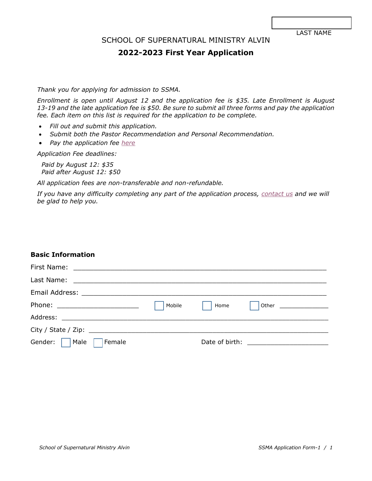### SCHOOL OF SUPERNATURAL MINISTRY ALVIN

# **2022-2023 First Year Application**

*Thank you for applying for admission to SSMA.*

*Enrollment is open until August 12 and the application fee is \$35. Late Enrollment is August 13-19 and the late application fee is \$50. Be sure to submit all three forms and pay the application fee. Each item on this list is required for the application to be complete.*

- *Fill out and submit this application.*
- *Submit both the Pastor Recommendation and Personal Recommendation.*
- *Pay the application fee [here](https://www.paypal.com/donate/?cmd=_s-xclick&hosted_button_id=XYTWUP5KQH858&source=url)*

*Application Fee deadlines:*

*Paid by August 12: \$35 Paid after August 12: \$50*

*All application fees are non-transferable and non-refundable.*

*If you have any difficulty completing any part of the application process, [contact us](http://ssmalvin.org/contact) and we will be glad to help you.*

### **Basic Information**

| Phone: __________________________ | Mobile | Home | Other ____________________ |
|-----------------------------------|--------|------|----------------------------|
|                                   |        |      |                            |
|                                   |        |      |                            |
| Gender: Male<br>Female            |        |      |                            |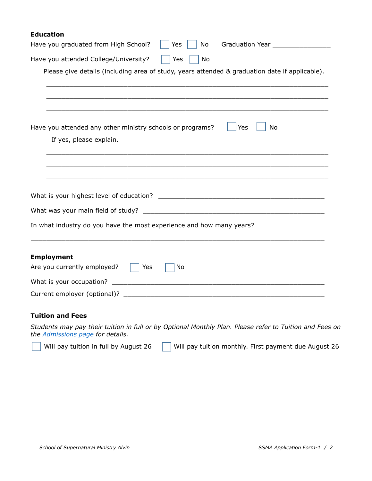### **Education**

| Have you graduated from High School?<br>Graduation Year __________________<br>Yes<br>No              |
|------------------------------------------------------------------------------------------------------|
| Have you attended College/University?<br>No<br>Yes                                                   |
| Please give details (including area of study, years attended & graduation date if applicable).       |
|                                                                                                      |
| Yes<br>Have you attended any other ministry schools or programs?<br>No<br>If yes, please explain.    |
|                                                                                                      |
|                                                                                                      |
|                                                                                                      |
| In what industry do you have the most experience and how many years? _______________________________ |
| <b>Employment</b><br>Are you currently employed?<br>Yes<br>No                                        |
|                                                                                                      |
|                                                                                                      |
|                                                                                                      |

#### **Tuition and Fees**

 $\overline{a}$ 

*Students may pay their tuition in full or by Optional Monthly Plan. Please refer to Tuition and Fees on the [Admissions page](https://ssmalvin.org/admissions) for details.*

Will pay tuition in full by August 26  $\Box$  Will pay tuition monthly. First payment due August 26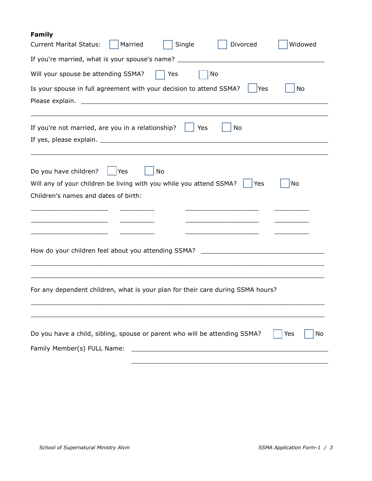# **Family**

| Widowed<br>Married<br>Single<br>Divorced<br><b>Current Marital Status:</b>                                                                           |
|------------------------------------------------------------------------------------------------------------------------------------------------------|
| If you're married, what is your spouse's name? _________________________________                                                                     |
| Will your spouse be attending SSMA?<br>Yes<br>No                                                                                                     |
| Is your spouse in full agreement with your decision to attend SSMA?<br><b>Yes</b><br>No                                                              |
| Please explain.<br><u> 1989 - Johann Barbara, martin amerikan basal dan berasal dan berasal dalam basal dalam basal dalam basal dala</u>             |
| If you're not married, are you in a relationship?<br>No<br>Yes                                                                                       |
|                                                                                                                                                      |
| Do you have children?<br>No<br>Yes                                                                                                                   |
| Will any of your children be living with you while you attend SSMA?<br>No<br>Yes                                                                     |
| Children's names and dates of birth:                                                                                                                 |
|                                                                                                                                                      |
|                                                                                                                                                      |
|                                                                                                                                                      |
| How do your children feel about you attending SSMA? _____________________________                                                                    |
|                                                                                                                                                      |
| For any dependent children, what is your plan for their care during SSMA hours?                                                                      |
|                                                                                                                                                      |
|                                                                                                                                                      |
| Do you have a child, sibling, spouse or parent who will be attending SSMA?<br>Yes<br>No                                                              |
| Family Member(s) FULL Name:<br><u> 1980 - Johann Barn, mars ann an t-Amhain an t-Amhain an t-Amhain an t-Amhain an t-Amhain an t-Amhain an t-Amh</u> |
|                                                                                                                                                      |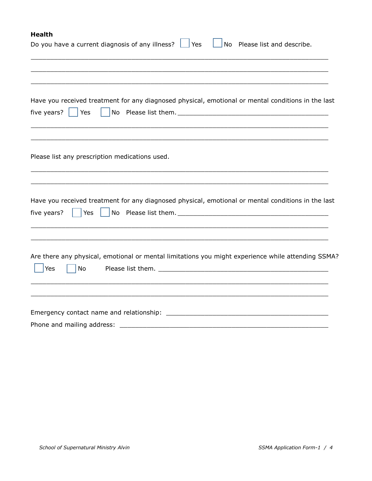# **Health**

| Do you have a current diagnosis of any illness?<br>Yes<br>Please list and describe.<br>No                                                          |
|----------------------------------------------------------------------------------------------------------------------------------------------------|
|                                                                                                                                                    |
| Have you received treatment for any diagnosed physical, emotional or mental conditions in the last<br>five years? $\vert \vert$ Yes                |
| Please list any prescription medications used.                                                                                                     |
| Have you received treatment for any diagnosed physical, emotional or mental conditions in the last<br>$ $ Yes<br>five years?                       |
| Are there any physical, emotional or mental limitations you might experience while attending SSMA?<br><b>Yes</b><br>No                             |
| Phone and mailing address:<br><u> 1989 - Johann Barn, mars ar breithinn ar breithinn ar breithinn ar breithinn ar breithinn ar breithinn ar br</u> |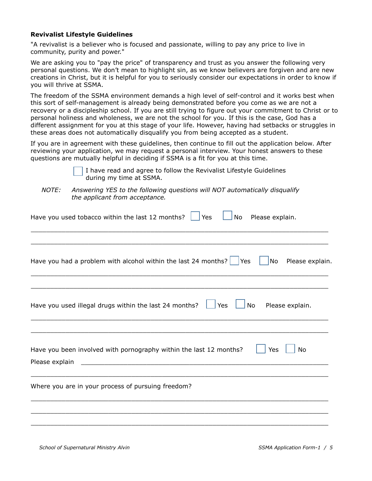#### **Revivalist Lifestyle Guidelines**

"A revivalist is a believer who is focused and passionate, willing to pay any price to live in community, purity and power."

We are asking you to "pay the price" of transparency and trust as you answer the following very personal questions. We don't mean to highlight sin, as we know believers are forgiven and are new creations in Christ, but it is helpful for you to seriously consider our expectations in order to know if you will thrive at SSMA.

The freedom of the SSMA environment demands a high level of self-control and it works best when this sort of self-management is already being demonstrated before you come as we are not a recovery or a discipleship school. If you are still trying to figure out your commitment to Christ or to personal holiness and wholeness, we are not the school for you. If this is the case, God has a different assignment for you at this stage of your life. However, having had setbacks or struggles in these areas does not automatically disqualify you from being accepted as a student.

If you are in agreement with these guidelines, then continue to fill out the application below. After reviewing your application, we may request a personal interview. Your honest answers to these questions are mutually helpful in deciding if SSMA is a fit for you at this time.

> I have read and agree to follow the Revivalist Lifestyle Guidelines during my time at SSMA.

*NOTE: Answering YES to the following questions will NOT automatically disqualify the applicant from acceptance.*

| Yes<br>Have you used tobacco within the last 12 months?<br>No<br>Please explain.                                                                                                                                            |
|-----------------------------------------------------------------------------------------------------------------------------------------------------------------------------------------------------------------------------|
|                                                                                                                                                                                                                             |
| Have you had a problem with alcohol within the last 24 months? $\Box$ Yes<br>$\vert$ No Please explain.                                                                                                                     |
| Yes<br>No<br>Have you used illegal drugs within the last 24 months?<br>Please explain.                                                                                                                                      |
| Have you been involved with pornography within the last 12 months?<br>Yes<br>No<br>Please explain<br><u> 1989 - Johann John Harry Harry Harry Harry Harry Harry Harry Harry Harry Harry Harry Harry Harry Harry Harry H</u> |
| Where you are in your process of pursuing freedom?                                                                                                                                                                          |
|                                                                                                                                                                                                                             |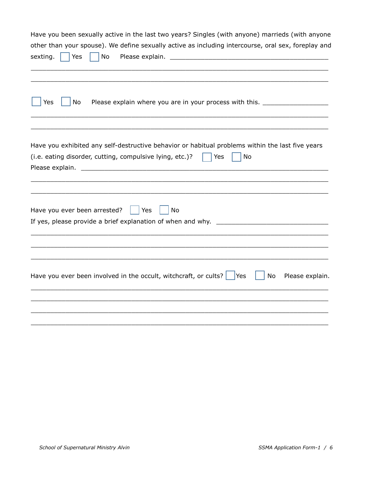| Have you been sexually active in the last two years? Singles (with anyone) marrieds (with anyone                                                                          |
|---------------------------------------------------------------------------------------------------------------------------------------------------------------------------|
| other than your spouse). We define sexually active as including intercourse, oral sex, foreplay and                                                                       |
| Yes<br>No<br>sexting.                                                                                                                                                     |
| Yes<br>No<br>Please explain where you are in your process with this. ________________________                                                                             |
| Have you exhibited any self-destructive behavior or habitual problems within the last five years<br>(i.e. eating disorder, cutting, compulsive lying, etc.)?<br>Yes<br>No |
| Have you ever been arrested?<br>Yes<br>No                                                                                                                                 |
|                                                                                                                                                                           |
|                                                                                                                                                                           |
| Have you ever been involved in the occult, witchcraft, or cults? $ $ Yes<br>No<br>Please explain.                                                                         |
|                                                                                                                                                                           |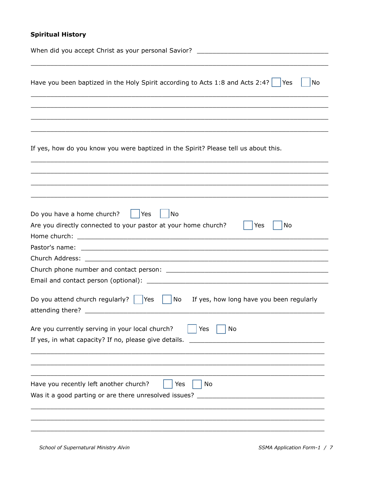# **Spiritual History**

| When did you accept Christ as your personal Savior? ____________________________                                                                                                                    |
|-----------------------------------------------------------------------------------------------------------------------------------------------------------------------------------------------------|
| Have you been baptized in the Holy Spirit according to Acts 1:8 and Acts 2:4? $\vert \hspace{0.2cm} \vert$ Yes<br>No                                                                                |
|                                                                                                                                                                                                     |
| If yes, how do you know you were baptized in the Spirit? Please tell us about this.                                                                                                                 |
|                                                                                                                                                                                                     |
| Do you have a home church?<br>Yes<br>No<br>Are you directly connected to your pastor at your home church?<br>Yes<br>No                                                                              |
|                                                                                                                                                                                                     |
|                                                                                                                                                                                                     |
|                                                                                                                                                                                                     |
| Do you attend church regularly? $\vert$<br>No<br>If yes, how long have you been regularly<br><b>Yes</b><br>attending there? ________                                                                |
| Are you currently serving in your local church?<br>No<br>Yes<br>If yes, in what capacity? If no, please give details.<br>the control of the control of the control of the control of the control of |
| Have you recently left another church?<br>Yes<br>No<br>Was it a good parting or are there unresolved issues?                                                                                        |
|                                                                                                                                                                                                     |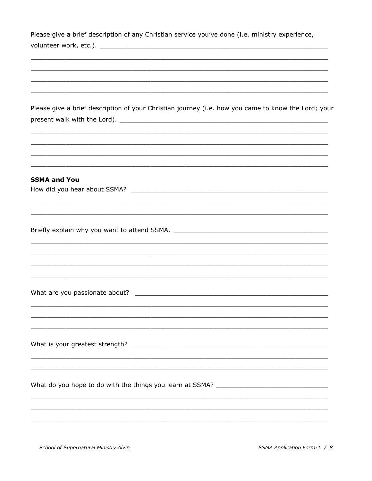| Please give a brief description of any Christian service you've done (i.e. ministry experience,     |
|-----------------------------------------------------------------------------------------------------|
|                                                                                                     |
|                                                                                                     |
|                                                                                                     |
|                                                                                                     |
|                                                                                                     |
| Please give a brief description of your Christian journey (i.e. how you came to know the Lord; your |
|                                                                                                     |
|                                                                                                     |
|                                                                                                     |
| ,我们也不能在这里的时候,我们也不能在这里的时候,我们也不能会在这里的时候,我们也不能会在这里的时候,我们也不能会在这里的时候,我们也不能会在这里的时候,我们也不                   |
|                                                                                                     |
|                                                                                                     |
| <b>SSMA and You</b>                                                                                 |
|                                                                                                     |
|                                                                                                     |
|                                                                                                     |
|                                                                                                     |
|                                                                                                     |
|                                                                                                     |
|                                                                                                     |
|                                                                                                     |
|                                                                                                     |
|                                                                                                     |
|                                                                                                     |
|                                                                                                     |
|                                                                                                     |
|                                                                                                     |
|                                                                                                     |
|                                                                                                     |
|                                                                                                     |
|                                                                                                     |
|                                                                                                     |
|                                                                                                     |
|                                                                                                     |
|                                                                                                     |
|                                                                                                     |

School of Supernatural Ministry Alvin